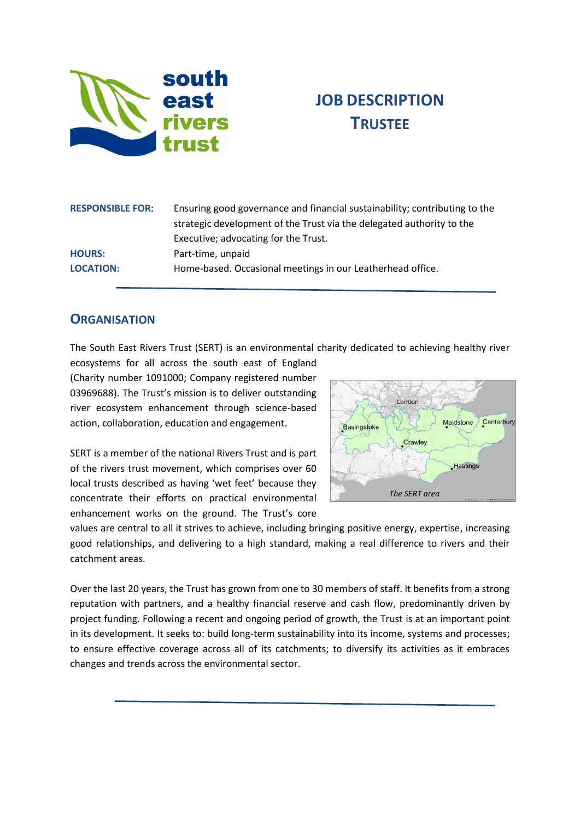

# **JOB DESCRIPTION TRUSTEE**

| <b>RESPONSIBLE FOR:</b> | Ensuring good governance and financial sustainability; contributing to the<br>strategic development of the Trust via the delegated authority to the |
|-------------------------|-----------------------------------------------------------------------------------------------------------------------------------------------------|
|                         | Executive; advocating for the Trust.                                                                                                                |
| <b>HOURS:</b>           | Part-time, unpaid                                                                                                                                   |
| <b>LOCATION:</b>        | Home-based. Occasional meetings in our Leatherhead office.                                                                                          |

## **ORGANISATION**

The South East Rivers Trust (SERT) is an environmental charity dedicated to achieving healthy river

ecosystems for all across the south east of England (Charity number 1091000; Company registered number 03969688). The Trust's mission is to deliver outstanding river ecosystem enhancement through science-based action, collaboration, education and engagement.

SERT is a member of the national Rivers Trust and is part of the rivers trust movement, which comprises over 60 local trusts described as having 'wet feet' because they concentrate their efforts on practical environmental enhancement works on the ground. The Trust's core



values are central to all it strives to achieve, including bringing positive energy, expertise, increasing good relationships, and delivering to a high standard, making a real difference to rivers and their catchment areas.

Over the last 20 years, the Trust has grown from one to 30 members of staff. It benefits from a strong reputation with partners, and a healthy financial reserve and cash flow, predominantly driven by project funding. Following a recent and ongoing period of growth, the Trust is at an important point in its development. It seeks to: build long-term sustainability into its income, systems and processes; to ensure effective coverage across all of its catchments; to diversify its activities as it embraces changes and trends across the environmental sector.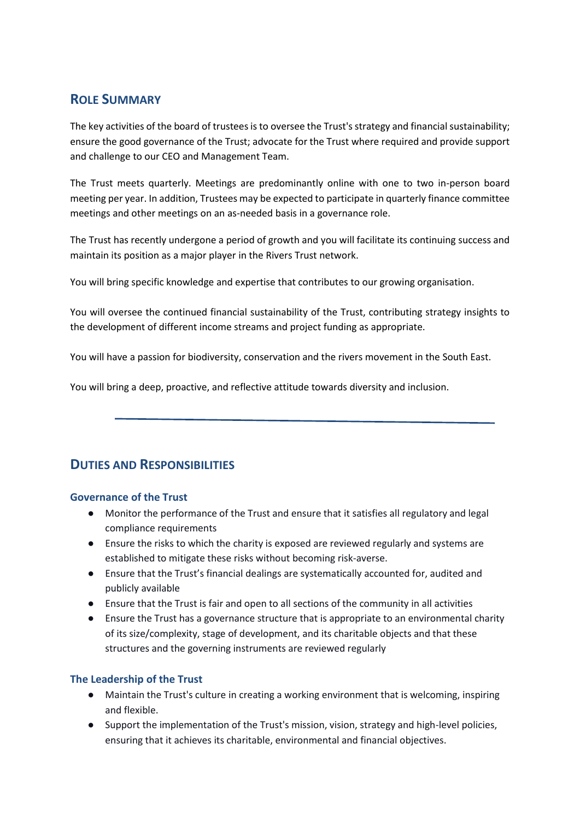# **ROLE SUMMARY**

The key activities of the board of trustees is to oversee the Trust's strategy and financial sustainability; ensure the good governance of the Trust; advocate for the Trust where required and provide support and challenge to our CEO and Management Team.

The Trust meets quarterly. Meetings are predominantly online with one to two in-person board meeting per year. In addition, Trustees may be expected to participate in quarterly finance committee meetings and other meetings on an as-needed basis in a governance role.

The Trust has recently undergone a period of growth and you will facilitate its continuing success and maintain its position as a major player in the Rivers Trust network.

You will bring specific knowledge and expertise that contributes to our growing organisation.

You will oversee the continued financial sustainability of the Trust, contributing strategy insights to the development of different income streams and project funding as appropriate.

You will have a passion for biodiversity, conservation and the rivers movement in the South East.

You will bring a deep, proactive, and reflective attitude towards diversity and inclusion.

# **DUTIES AND RESPONSIBILITIES**

#### **Governance of the Trust**

- Monitor the performance of the Trust and ensure that it satisfies all regulatory and legal compliance requirements
- Ensure the risks to which the charity is exposed are reviewed regularly and systems are established to mitigate these risks without becoming risk-averse.
- Ensure that the Trust's financial dealings are systematically accounted for, audited and publicly available
- Ensure that the Trust is fair and open to all sections of the community in all activities
- Ensure the Trust has a governance structure that is appropriate to an environmental charity of its size/complexity, stage of development, and its charitable objects and that these structures and the governing instruments are reviewed regularly

#### **The Leadership of the Trust**

- Maintain the Trust's culture in creating a working environment that is welcoming, inspiring and flexible.
- Support the implementation of the Trust's mission, vision, strategy and high-level policies, ensuring that it achieves its charitable, environmental and financial objectives.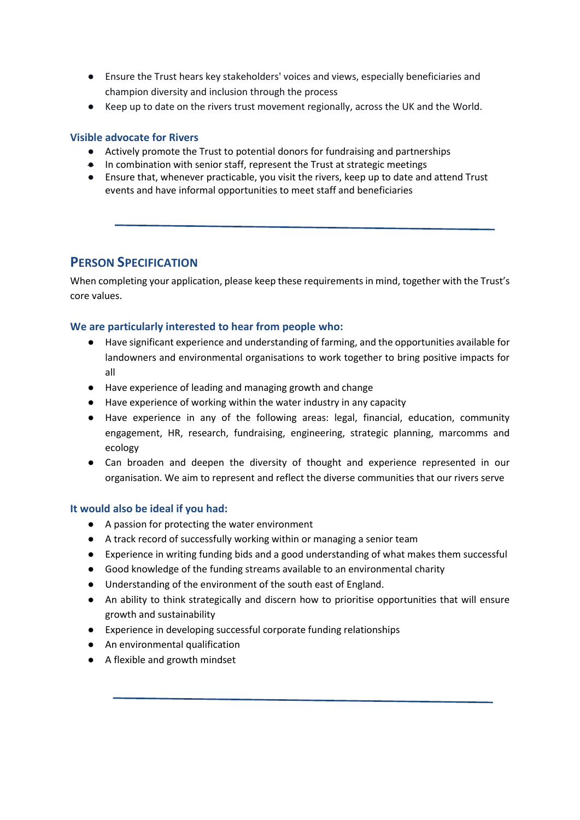- Ensure the Trust hears key stakeholders' voices and views, especially beneficiaries and champion diversity and inclusion through the process
- Keep up to date on the rivers trust movement regionally, across the UK and the World.

#### **Visible advocate for Rivers**

- Actively promote the Trust to potential donors for fundraising and partnerships
- In combination with senior staff, represent the Trust at strategic meetings
- Ensure that, whenever practicable, you visit the rivers, keep up to date and attend Trust events and have informal opportunities to meet staff and beneficiaries

#### **PERSON SPECIFICATION**

When completing your application, please keep these requirements in mind, together with the Trust's core values.

#### **We are particularly interested to hear from people who:**

- Have significant experience and understanding of farming, and the opportunities available for landowners and environmental organisations to work together to bring positive impacts for all
- Have experience of leading and managing growth and change
- Have experience of working within the water industry in any capacity
- Have experience in any of the following areas: legal, financial, education, community engagement, HR, research, fundraising, engineering, strategic planning, marcomms and ecology
- Can broaden and deepen the diversity of thought and experience represented in our organisation. We aim to represent and reflect the diverse communities that our rivers serve

#### **It would also be ideal if you had:**

- A passion for protecting the water environment
- A track record of successfully working within or managing a senior team
- Experience in writing funding bids and a good understanding of what makes them successful
- Good knowledge of the funding streams available to an environmental charity
- Understanding of the environment of the south east of England.
- An ability to think strategically and discern how to prioritise opportunities that will ensure growth and sustainability
- Experience in developing successful corporate funding relationships
- An environmental qualification
- A flexible and growth mindset